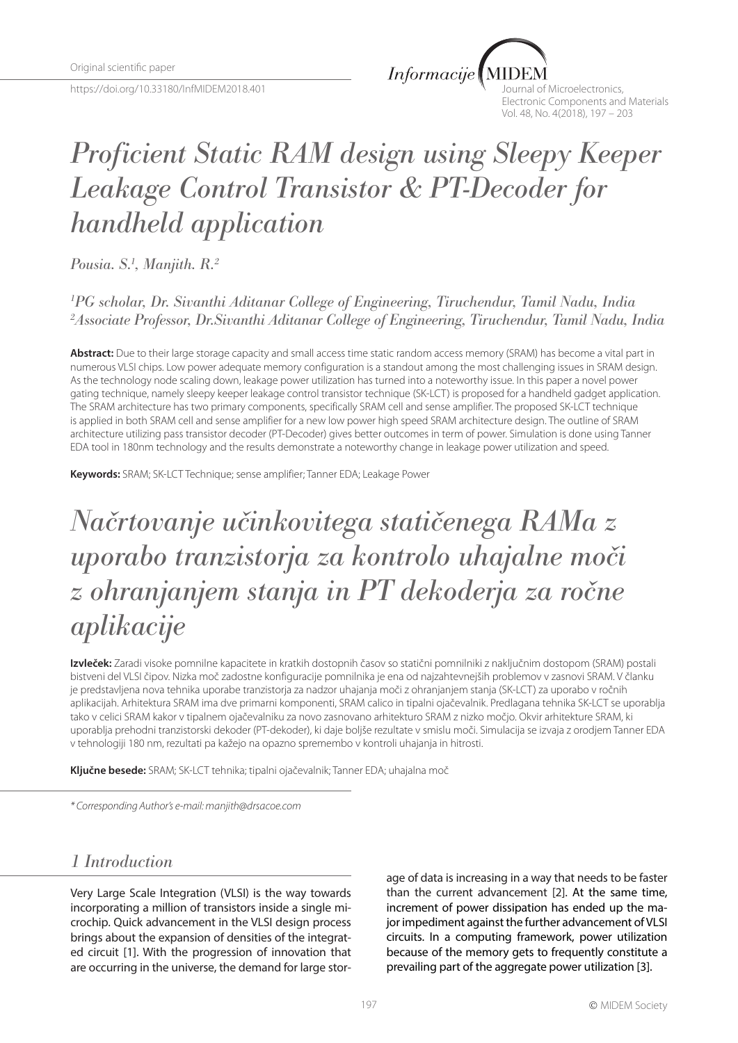https://doi.org/10.33180/InfMIDEM2018.401

 $Informacije$ 

Journal of Microelectronics, Electronic Components and Materials Vol. 48, No. 4(2018), 197 – 203

# *Proficient Static RAM design using Sleepy Keeper Leakage Control Transistor & PT-Decoder for handheld application*

*Pousia. S.1 , Manjith. R.2*

*1 PG scholar, Dr. Sivanthi Aditanar College of Engineering, Tiruchendur, Tamil Nadu, India 2 Associate Professor, Dr.Sivanthi Aditanar College of Engineering, Tiruchendur, Tamil Nadu, India*

**Abstract:** Due to their large storage capacity and small access time static random access memory (SRAM) has become a vital part in numerous VLSI chips. Low power adequate memory configuration is a standout among the most challenging issues in SRAM design. As the technology node scaling down, leakage power utilization has turned into a noteworthy issue. In this paper a novel power gating technique, namely sleepy keeper leakage control transistor technique (SK-LCT) is proposed for a handheld gadget application. The SRAM architecture has two primary components, specifically SRAM cell and sense amplifier. The proposed SK-LCT technique is applied in both SRAM cell and sense amplifier for a new low power high speed SRAM architecture design. The outline of SRAM architecture utilizing pass transistor decoder (PT-Decoder) gives better outcomes in term of power. Simulation is done using Tanner EDA tool in 180nm technology and the results demonstrate a noteworthy change in leakage power utilization and speed.

**Keywords:** SRAM; SK-LCT Technique; sense amplifier; Tanner EDA; Leakage Power

# *Načrtovanje učinkovitega statičenega RAMa z uporabo tranzistorja za kontrolo uhajalne moči z ohranjanjem stanja in PT dekoderja za ročne aplikacije*

**Izvleček:** Zaradi visoke pomnilne kapacitete in kratkih dostopnih časov so statični pomnilniki z naključnim dostopom (SRAM) postali bistveni del VLSI čipov. Nizka moč zadostne konfiguracije pomnilnika je ena od najzahtevnejših problemov v zasnovi SRAM. V članku je predstavljena nova tehnika uporabe tranzistorja za nadzor uhajanja moči z ohranjanjem stanja (SK-LCT) za uporabo v ročnih aplikacijah. Arhitektura SRAM ima dve primarni komponenti, SRAM calico in tipalni ojačevalnik. Predlagana tehnika SK-LCT se uporablja tako v celici SRAM kakor v tipalnem ojačevalniku za novo zasnovano arhitekturo SRAM z nizko močjo. Okvir arhitekture SRAM, ki uporablja prehodni tranzistorski dekoder (PT-dekoder), ki daje boljše rezultate v smislu moči. Simulacija se izvaja z orodjem Tanner EDA v tehnologiji 180 nm, rezultati pa kažejo na opazno spremembo v kontroli uhajanja in hitrosti.

**Ključne besede:** SRAM; SK-LCT tehnika; tipalni ojačevalnik; Tanner EDA; uhajalna moč

*\* Corresponding Author's e-mail: manjith@drsacoe.com*

## *1 Introduction*

Very Large Scale Integration (VLSI) is the way towards incorporating a million of transistors inside a single microchip. Quick advancement in the VLSI design process brings about the expansion of densities of the integrated circuit [1]. With the progression of innovation that are occurring in the universe, the demand for large storage of data is increasing in a way that needs to be faster than the current advancement [2]. At the same time, increment of power dissipation has ended up the major impediment against the further advancement of VLSI circuits. In a computing framework, power utilization because of the memory gets to frequently constitute a prevailing part of the aggregate power utilization [3].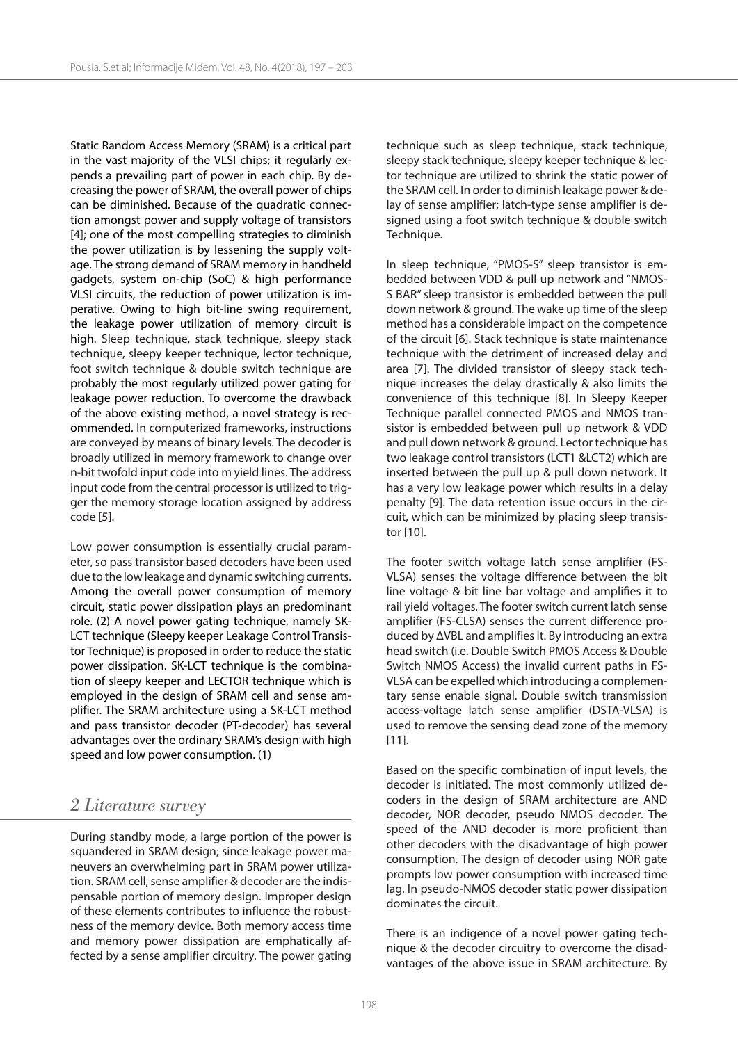Static Random Access Memory (SRAM) is a critical part in the vast majority of the VLSI chips; it regularly expends a prevailing part of power in each chip. By decreasing the power of SRAM, the overall power of chips can be diminished. Because of the quadratic connection amongst power and supply voltage of transistors [4]; one of the most compelling strategies to diminish the power utilization is by lessening the supply voltage. The strong demand of SRAM memory in handheld gadgets, system on-chip (SoC) & high performance VLSI circuits, the reduction of power utilization is imperative. Owing to high bit-line swing requirement, the leakage power utilization of memory circuit is high. Sleep technique, stack technique, sleepy stack technique, sleepy keeper technique, lector technique, foot switch technique & double switch technique are probably the most regularly utilized power gating for leakage power reduction. To overcome the drawback of the above existing method, a novel strategy is recommended. In computerized frameworks, instructions are conveyed by means of binary levels. The decoder is broadly utilized in memory framework to change over n-bit twofold input code into m yield lines. The address input code from the central processor is utilized to trigger the memory storage location assigned by address code [5].

Low power consumption is essentially crucial parameter, so pass transistor based decoders have been used due to the low leakage and dynamic switching currents. Among the overall power consumption of memory circuit, static power dissipation plays an predominant role. (2) A novel power gating technique, namely SK-LCT technique (Sleepy keeper Leakage Control Transistor Technique) is proposed in order to reduce the static power dissipation. SK-LCT technique is the combination of sleepy keeper and LECTOR technique which is employed in the design of SRAM cell and sense amplifier. The SRAM architecture using a SK-LCT method and pass transistor decoder (PT-decoder) has several advantages over the ordinary SRAM's design with high speed and low power consumption. (1)

## *2 Literature survey*

During standby mode, a large portion of the power is squandered in SRAM design; since leakage power maneuvers an overwhelming part in SRAM power utilization. SRAM cell, sense amplifier & decoder are the indispensable portion of memory design. Improper design of these elements contributes to influence the robustness of the memory device. Both memory access time and memory power dissipation are emphatically affected by a sense amplifier circuitry. The power gating

technique such as sleep technique, stack technique, sleepy stack technique, sleepy keeper technique & lector technique are utilized to shrink the static power of the SRAM cell. In order to diminish leakage power & delay of sense amplifier; latch-type sense amplifier is designed using a foot switch technique & double switch Technique.

In sleep technique, "PMOS-S" sleep transistor is embedded between VDD & pull up network and "NMOS-S BAR" sleep transistor is embedded between the pull down network & ground. The wake up time of the sleep method has a considerable impact on the competence of the circuit [6]. Stack technique is state maintenance technique with the detriment of increased delay and area [7]. The divided transistor of sleepy stack technique increases the delay drastically & also limits the convenience of this technique [8]. In Sleepy Keeper Technique parallel connected PMOS and NMOS transistor is embedded between pull up network & VDD and pull down network & ground. Lector technique has two leakage control transistors (LCT1 &LCT2) which are inserted between the pull up & pull down network. It has a very low leakage power which results in a delay penalty [9]. The data retention issue occurs in the circuit, which can be minimized by placing sleep transistor [10].

The footer switch voltage latch sense amplifier (FS-VLSA) senses the voltage difference between the bit line voltage & bit line bar voltage and amplifies it to rail yield voltages. The footer switch current latch sense amplifier (FS-CLSA) senses the current difference produced by ΔVBL and amplifies it. By introducing an extra head switch (i.e. Double Switch PMOS Access & Double Switch NMOS Access) the invalid current paths in FS-VLSA can be expelled which introducing a complementary sense enable signal. Double switch transmission access-voltage latch sense amplifier (DSTA-VLSA) is used to remove the sensing dead zone of the memory [11].

Based on the specific combination of input levels, the decoder is initiated. The most commonly utilized decoders in the design of SRAM architecture are AND decoder, NOR decoder, pseudo NMOS decoder. The speed of the AND decoder is more proficient than other decoders with the disadvantage of high power consumption. The design of decoder using NOR gate prompts low power consumption with increased time lag. In pseudo-NMOS decoder static power dissipation dominates the circuit.

There is an indigence of a novel power gating technique & the decoder circuitry to overcome the disadvantages of the above issue in SRAM architecture. By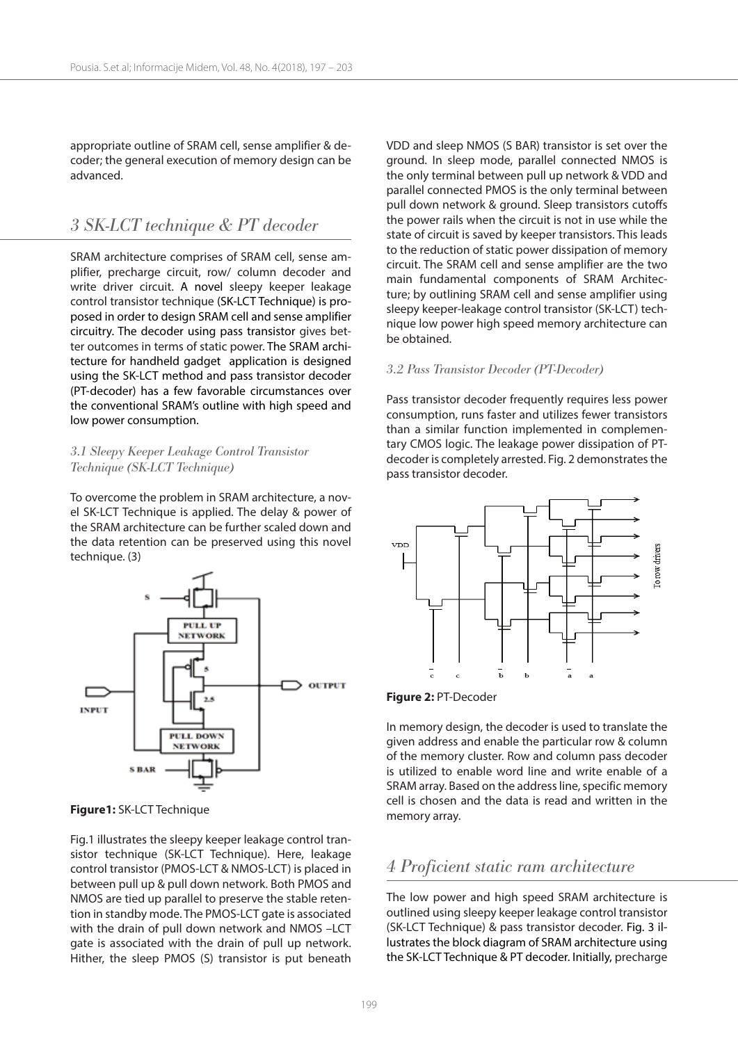appropriate outline of SRAM cell, sense amplifier & decoder; the general execution of memory design can be advanced.

## *3 SK-LCT technique & PT decoder*

SRAM architecture comprises of SRAM cell, sense amplifier, precharge circuit, row/ column decoder and write driver circuit. A novel sleepy keeper leakage control transistor technique (SK-LCT Technique) is proposed in order to design SRAM cell and sense amplifier circuitry. The decoder using pass transistor gives better outcomes in terms of static power. The SRAM architecture for handheld gadget application is designed using the SK-LCT method and pass transistor decoder (PT-decoder) has a few favorable circumstances over the conventional SRAM's outline with high speed and low power consumption.

### *3.1 Sleepy Keeper Leakage Control Transistor Technique (SK-LCT Technique)*

To overcome the problem in SRAM architecture, a novel SK-LCT Technique is applied. The delay & power of the SRAM architecture can be further scaled down and the data retention can be preserved using this novel technique. (3)



**Figure1:** SK-LCT Technique

Fig.1 illustrates the sleepy keeper leakage control transistor technique (SK-LCT Technique). Here, leakage control transistor (PMOS-LCT & NMOS-LCT) is placed in between pull up & pull down network. Both PMOS and NMOS are tied up parallel to preserve the stable retention in standby mode. The PMOS-LCT gate is associated with the drain of pull down network and NMOS –LCT gate is associated with the drain of pull up network. Hither, the sleep PMOS (S) transistor is put beneath VDD and sleep NMOS (S BAR) transistor is set over the ground. In sleep mode, parallel connected NMOS is the only terminal between pull up network & VDD and parallel connected PMOS is the only terminal between pull down network & ground. Sleep transistors cutoffs the power rails when the circuit is not in use while the state of circuit is saved by keeper transistors. This leads to the reduction of static power dissipation of memory circuit. The SRAM cell and sense amplifier are the two main fundamental components of SRAM Architecture; by outlining SRAM cell and sense amplifier using sleepy keeper-leakage control transistor (SK-LCT) technique low power high speed memory architecture can be obtained.

#### *3.2 Pass Transistor Decoder (PT-Decoder)*

Pass transistor decoder frequently requires less power consumption, runs faster and utilizes fewer transistors than a similar function implemented in complementary CMOS logic. The leakage power dissipation of PTdecoder is completely arrested. Fig. 2 demonstrates the pass transistor decoder.



**Figure 2:** PT-Decoder

In memory design, the decoder is used to translate the given address and enable the particular row & column of the memory cluster. Row and column pass decoder is utilized to enable word line and write enable of a SRAM array. Based on the address line, specific memory cell is chosen and the data is read and written in the memory array.

## *4 Proficient static ram architecture*

The low power and high speed SRAM architecture is outlined using sleepy keeper leakage control transistor (SK-LCT Technique) & pass transistor decoder. Fig. 3 illustrates the block diagram of SRAM architecture using the SK-LCT Technique & PT decoder. Initially, precharge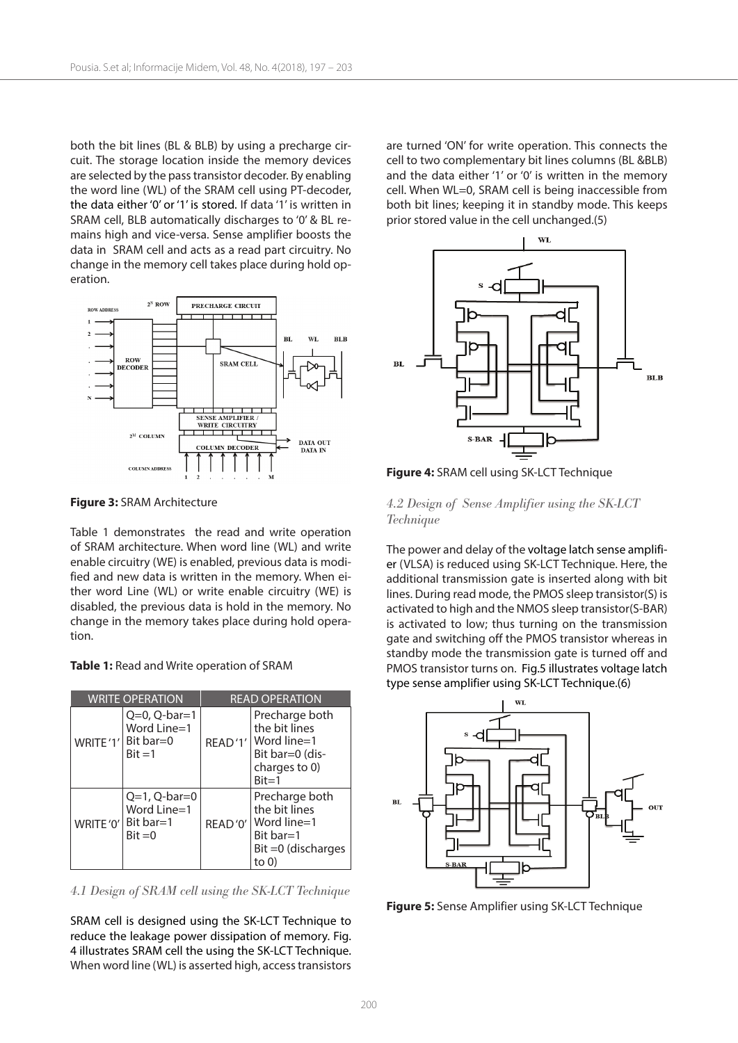both the bit lines (BL & BLB) by using a precharge circuit. The storage location inside the memory devices are selected by the pass transistor decoder. By enabling the word line (WL) of the SRAM cell using PT-decoder, the data either '0' or '1' is stored. If data '1' is written in SRAM cell, BLB automatically discharges to '0' & BL remains high and vice-versa. Sense amplifier boosts the data in SRAM cell and acts as a read part circuitry. No change in the memory cell takes place during hold operation.



**Figure 3:** SRAM Architecture

Table 1 demonstrates the read and write operation of SRAM architecture. When word line (WL) and write enable circuitry (WE) is enabled, previous data is modified and new data is written in the memory. When either word Line (WL) or write enable circuitry (WE) is disabled, the previous data is hold in the memory. No change in the memory takes place during hold operation.

|  |  |  | Table 1: Read and Write operation of SRAM |  |
|--|--|--|-------------------------------------------|--|
|--|--|--|-------------------------------------------|--|

| <b>WRITE OPERATION</b> |                                                                     | <b>READ OPERATION</b> |                                                                                                           |  |
|------------------------|---------------------------------------------------------------------|-----------------------|-----------------------------------------------------------------------------------------------------------|--|
|                        | $Q=0$ , $Q-bar=1$<br>Word Line=1<br>WRITE'1' Bit bar=0<br>$Bit = 1$ |                       | Precharge both<br>the bit lines<br>READ'1'   Word line=1<br>Bit bar=0 (dis-<br>charges to 0)<br>$Bit = 1$ |  |
| WRITE '0'              | $Q=1$ , $Q-bar=0$<br>Word Line=1<br>Bit bar= $1$<br>$Bit = 0$       | READ'0'               | Precharge both<br>the bit lines<br>Word line=1<br>Bit bar=1<br>Bit = 0 (discharges<br>to 0)               |  |

*4.1 Design of SRAM cell using the SK-LCT Technique*

SRAM cell is designed using the SK-LCT Technique to reduce the leakage power dissipation of memory. Fig. 4 illustrates SRAM cell the using the SK-LCT Technique. When word line (WL) is asserted high, access transistors are turned 'ON' for write operation. This connects the cell to two complementary bit lines columns (BL &BLB) and the data either '1' or '0' is written in the memory cell. When WL=0, SRAM cell is being inaccessible from both bit lines; keeping it in standby mode. This keeps prior stored value in the cell unchanged.(5)



**Figure 4:** SRAM cell using SK-LCT Technique

#### *4.2 Design of Sense Amplifier using the SK-LCT Technique*

The power and delay of the voltage latch sense amplifier (VLSA) is reduced using SK-LCT Technique. Here, the additional transmission gate is inserted along with bit lines. During read mode, the PMOS sleep transistor(S) is activated to high and the NMOS sleep transistor(S-BAR) is activated to low; thus turning on the transmission gate and switching off the PMOS transistor whereas in standby mode the transmission gate is turned off and PMOS transistor turns on. Fig.5 illustrates voltage latch type sense amplifier using SK-LCT Technique.(6)



**Figure 5:** Sense Amplifier using SK-LCT Technique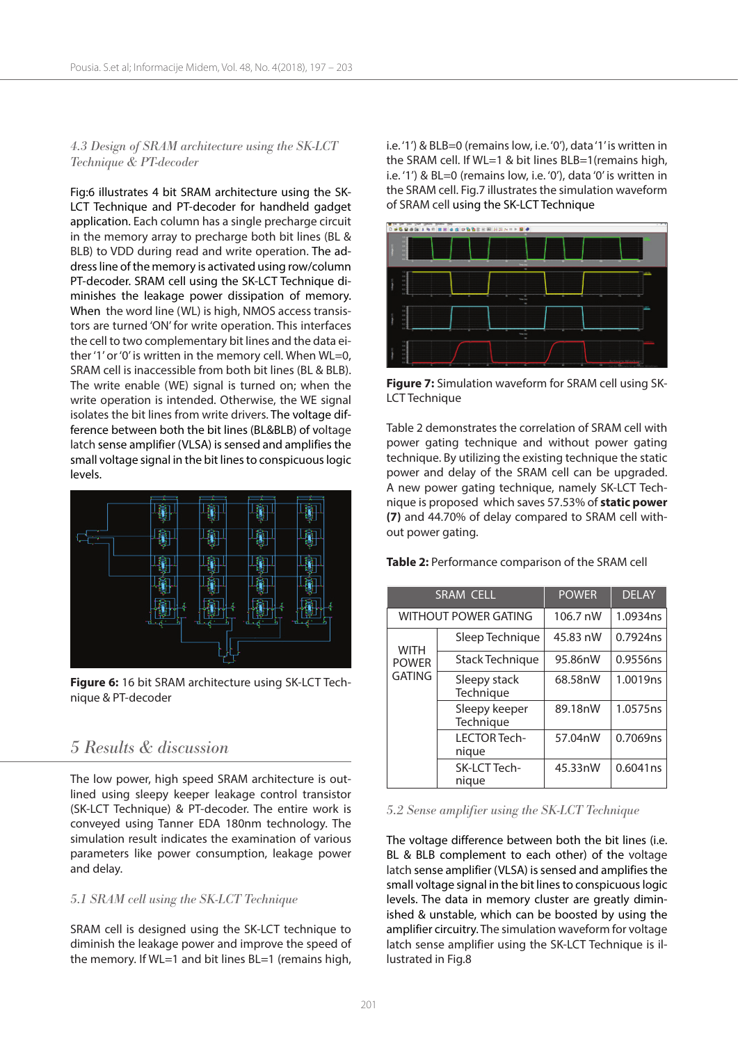### *4.3 Design of SRAM architecture using the SK-LCT Technique & PT-decoder*

Fig:6 illustrates 4 bit SRAM architecture using the SK-LCT Technique and PT-decoder for handheld gadget application. Each column has a single precharge circuit in the memory array to precharge both bit lines (BL & BLB) to VDD during read and write operation. The address line of the memory is activated using row/column PT-decoder. SRAM cell using the SK-LCT Technique diminishes the leakage power dissipation of memory. When the word line (WL) is high, NMOS access transistors are turned 'ON' for write operation. This interfaces the cell to two complementary bit lines and the data either '1' or '0' is written in the memory cell. When WL=0, SRAM cell is inaccessible from both bit lines (BL & BLB). The write enable (WE) signal is turned on; when the write operation is intended. Otherwise, the WE signal isolates the bit lines from write drivers. The voltage difference between both the bit lines (BL&BLB) of voltage latch sense amplifier (VLSA) is sensed and amplifies the small voltage signal in the bit lines to conspicuous logic levels.



**Figure 6:** 16 bit SRAM architecture using SK-LCT Technique & PT-decoder

## *5 Results & discussion*

The low power, high speed SRAM architecture is outlined using sleepy keeper leakage control transistor (SK-LCT Technique) & PT-decoder. The entire work is conveyed using Tanner EDA 180nm technology. The simulation result indicates the examination of various parameters like power consumption, leakage power and delay.

### *5.1 SRAM cell using the SK-LCT Technique*

SRAM cell is designed using the SK-LCT technique to diminish the leakage power and improve the speed of the memory. If WL=1 and bit lines BL=1 (remains high, i.e. '1') & BLB=0 (remains low, i.e. '0'), data '1' is written in the SRAM cell. If WL=1 & bit lines BLB=1(remains high, i.e. '1') & BL=0 (remains low, i.e. '0'), data '0' is written in the SRAM cell. Fig.7 illustrates the simulation waveform of SRAM cell using the SK-LCT Technique



**Figure 7:** Simulation waveform for SRAM cell using SK-LCT Technique

Table 2 demonstrates the correlation of SRAM cell with power gating technique and without power gating technique. By utilizing the existing technique the static power and delay of the SRAM cell can be upgraded. A new power gating technique, namely SK-LCT Technique is proposed which saves 57.53% of **static power (7)** and 44.70% of delay compared to SRAM cell without power gating.

**Table 2:** Performance comparison of the SRAM cell

| <b>SRAM CELL</b>                             |                            | <b>POWER</b> | <b>DELAY</b> |
|----------------------------------------------|----------------------------|--------------|--------------|
| <b>WITHOUT POWER GATING</b>                  |                            | 106.7 nW     | 1.0934ns     |
| <b>WITH</b><br><b>POWER</b><br><b>GATING</b> | Sleep Technique            | 45.83 nW     | 0.7924ns     |
|                                              | Stack Technique            | 95.86nW      | 0.9556ns     |
|                                              | Sleepy stack<br>Technique  | 68.58nW      | 1.0019ns     |
|                                              | Sleepy keeper<br>Technique | 89.18nW      | 1.0575ns     |
|                                              | I FCTOR Tech-<br>nique     | 57.04nW      | 0.7069ns     |
|                                              | SK-LCT Tech-<br>nique      | 45.33nW      | 0.6041ns     |

#### *5.2 Sense amplifier using the SK-LCT Technique*

The voltage difference between both the bit lines (i.e. BL & BLB complement to each other) of the voltage latch sense amplifier (VLSA) is sensed and amplifies the small voltage signal in the bit lines to conspicuous logic levels. The data in memory cluster are greatly diminished & unstable, which can be boosted by using the amplifier circuitry. The simulation waveform for voltage latch sense amplifier using the SK-LCT Technique is illustrated in Fig.8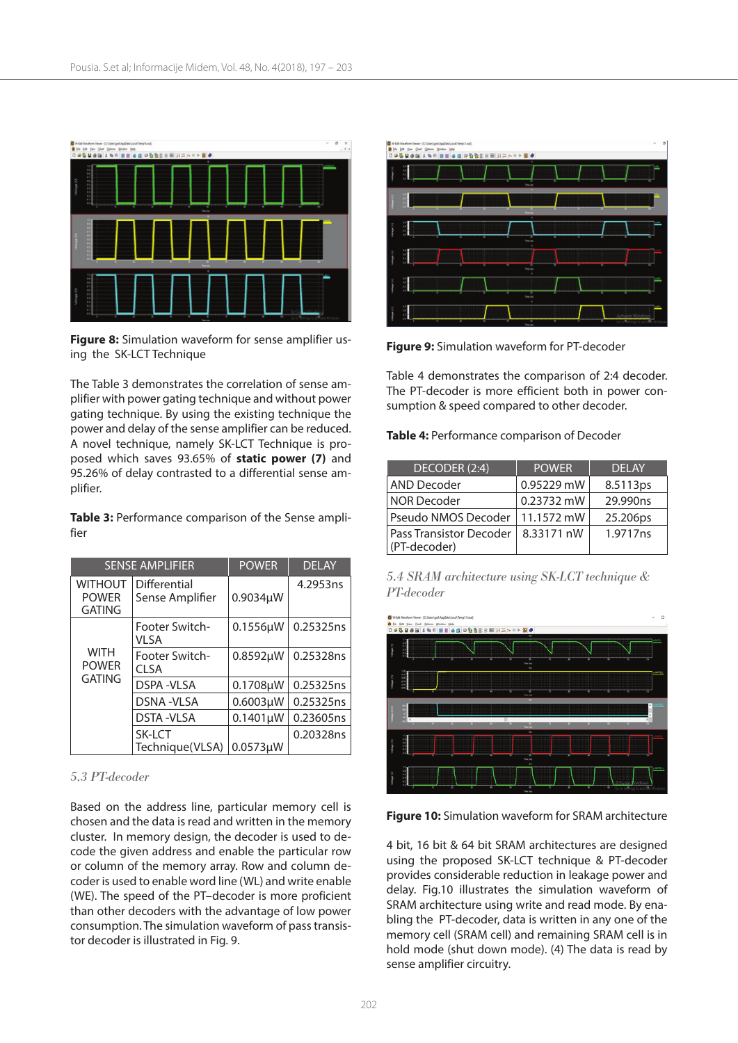

**Figure 8:** Simulation waveform for sense amplifier using the SK-LCT Technique

The Table 3 demonstrates the correlation of sense amplifier with power gating technique and without power gating technique. By using the existing technique the power and delay of the sense amplifier can be reduced. A novel technique, namely SK-LCT Technique is proposed which saves 93.65% of **static power (7)** and 95.26% of delay contrasted to a differential sense amplifier.

**Table 3:** Performance comparison of the Sense amplifier

| <b>SENSE AMPLIFIER</b>                          |                                 | <b>POWER</b>   | <b>DELAY</b> |
|-------------------------------------------------|---------------------------------|----------------|--------------|
| <b>WITHOUT</b><br><b>POWER</b><br><b>GATING</b> | Differential<br>Sense Amplifier |                | 4.2953ns     |
| <b>WITH</b><br><b>POWER</b><br><b>GATING</b>    | Footer Switch-<br>VI SA         | 0.1556µW       | 0.25325ns    |
|                                                 | Footer Switch-<br>CI SA         | 0.8592µW       | 0.25328ns    |
|                                                 | DSPA-VLSA                       | 0.1708µW       | 0.25325ns    |
|                                                 | <b>DSNA-VLSA</b>                |                | 0.25325ns    |
|                                                 | <b>DSTA-VLSA</b>                | $0.1401 \mu W$ | 0.23605ns    |
|                                                 | SK-LCT                          |                | 0.20328ns    |
|                                                 | Technique(VLSA)                 | $0.0573\mu$ W  |              |

#### *5.3 PT-decoder*

Based on the address line, particular memory cell is chosen and the data is read and written in the memory cluster. In memory design, the decoder is used to decode the given address and enable the particular row or column of the memory array. Row and column decoder is used to enable word line (WL) and write enable (WE). The speed of the PT–decoder is more proficient than other decoders with the advantage of low power consumption. The simulation waveform of pass transistor decoder is illustrated in Fig. 9.



**Figure 9:** Simulation waveform for PT-decoder

Table 4 demonstrates the comparison of 2:4 decoder. The PT-decoder is more efficient both in power consumption & speed compared to other decoder.

**Table 4:** Performance comparison of Decoder

| DECODER (2:4)                                  | <b>POWER</b> | <b>DELAY</b> |
|------------------------------------------------|--------------|--------------|
| <b>AND Decoder</b>                             | 0.95229 mW   | 8.5113ps     |
| <b>NOR Decoder</b>                             | 0.23732 mW   | 29.990ns     |
| Pseudo NMOS Decoder                            | 11.1572 mW   | 25.206ps     |
| <b>Pass Transistor Decoder</b><br>(PT-decoder) | 8.33171 nW   | 1.9717ns     |

| 5.4 SRAM architecture using SK-LCT technique & |  |  |
|------------------------------------------------|--|--|
| PT-decoder                                     |  |  |



**Figure 10:** Simulation waveform for SRAM architecture

4 bit, 16 bit & 64 bit SRAM architectures are designed using the proposed SK-LCT technique & PT-decoder provides considerable reduction in leakage power and delay. Fig.10 illustrates the simulation waveform of SRAM architecture using write and read mode. By enabling the PT-decoder, data is written in any one of the memory cell (SRAM cell) and remaining SRAM cell is in hold mode (shut down mode). (4) The data is read by sense amplifier circuitry.